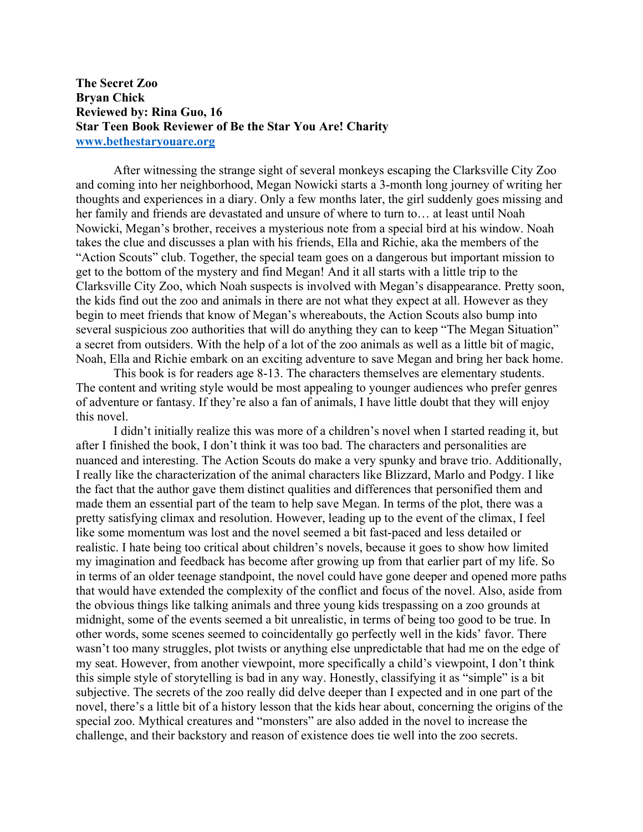## **The Secret Zoo Bryan Chick Reviewed by: Rina Guo, 16 Star Teen Book Reviewer of Be the Star You Are! Charity www.bethestaryouare.org**

After witnessing the strange sight of several monkeys escaping the Clarksville City Zoo and coming into her neighborhood, Megan Nowicki starts a 3-month long journey of writing her thoughts and experiences in a diary. Only a few months later, the girl suddenly goes missing and her family and friends are devastated and unsure of where to turn to… at least until Noah Nowicki, Megan's brother, receives a mysterious note from a special bird at his window. Noah takes the clue and discusses a plan with his friends, Ella and Richie, aka the members of the "Action Scouts" club. Together, the special team goes on a dangerous but important mission to get to the bottom of the mystery and find Megan! And it all starts with a little trip to the Clarksville City Zoo, which Noah suspects is involved with Megan's disappearance. Pretty soon, the kids find out the zoo and animals in there are not what they expect at all. However as they begin to meet friends that know of Megan's whereabouts, the Action Scouts also bump into several suspicious zoo authorities that will do anything they can to keep "The Megan Situation" a secret from outsiders. With the help of a lot of the zoo animals as well as a little bit of magic, Noah, Ella and Richie embark on an exciting adventure to save Megan and bring her back home.

This book is for readers age 8-13. The characters themselves are elementary students. The content and writing style would be most appealing to younger audiences who prefer genres of adventure or fantasy. If they're also a fan of animals, I have little doubt that they will enjoy this novel.

I didn't initially realize this was more of a children's novel when I started reading it, but after I finished the book, I don't think it was too bad. The characters and personalities are nuanced and interesting. The Action Scouts do make a very spunky and brave trio. Additionally, I really like the characterization of the animal characters like Blizzard, Marlo and Podgy. I like the fact that the author gave them distinct qualities and differences that personified them and made them an essential part of the team to help save Megan. In terms of the plot, there was a pretty satisfying climax and resolution. However, leading up to the event of the climax, I feel like some momentum was lost and the novel seemed a bit fast-paced and less detailed or realistic. I hate being too critical about children's novels, because it goes to show how limited my imagination and feedback has become after growing up from that earlier part of my life. So in terms of an older teenage standpoint, the novel could have gone deeper and opened more paths that would have extended the complexity of the conflict and focus of the novel. Also, aside from the obvious things like talking animals and three young kids trespassing on a zoo grounds at midnight, some of the events seemed a bit unrealistic, in terms of being too good to be true. In other words, some scenes seemed to coincidentally go perfectly well in the kids' favor. There wasn't too many struggles, plot twists or anything else unpredictable that had me on the edge of my seat. However, from another viewpoint, more specifically a child's viewpoint, I don't think this simple style of storytelling is bad in any way. Honestly, classifying it as "simple" is a bit subjective. The secrets of the zoo really did delve deeper than I expected and in one part of the novel, there's a little bit of a history lesson that the kids hear about, concerning the origins of the special zoo. Mythical creatures and "monsters" are also added in the novel to increase the challenge, and their backstory and reason of existence does tie well into the zoo secrets.